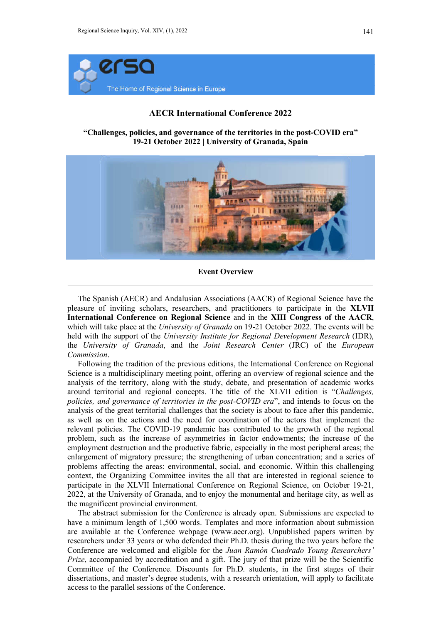

## AECR International Conference 2022

"Challenges, policies, and governance of the territories in the post-COVID era" 19-21 October 2022 | University of Granada, Spain



The Spanish (AECR) and Andalusian Associations (AACR) of Regional Science have the The Spanish (AECR) and Andalusian Associations (AACR) of Regional Science have the pleasure of inviting scholars, researchers, and practitioners to participate in the XLVII International Conference on Regional Science and in the XIII Congress of the AACR, which will take place at the University of Granada on 19-21 October 2022. The events will be held with the support of the University Institute for Regional Development Research (IDR), the University of Granada, and the Joint Research Center (JRC) of the European Commission.

Following the tradition of the previous editions, the International Conference on Regional Science is a multidisciplinary meeting point, offering an overview of regional science and the analysis of the territory, along with the study, debate, and presentation of academic works around territorial and regional concepts. The title of the XLVII edition policies, and governance of territories in the post-COVID era", and intends to focus on the analysis of the great territorial challenges that the society is about to face after this pandemic, as well as on the actions and the need for coordination of the actors that implement the relevant policies. The COVID-19 pandemic has contributed to the growth of the regional problem, such as the increase of asymmetries in factor endowments; the employment destruction and the productive fabric, especially in the most peripheral areas; the enlargement of migratory pressure; the strengthening of urban concentration; and a series of problems affecting the areas: environmental, social, and economic. Within this challenging context, the Organizing Committee invites the all that are interested in regional science to context, the Organizing Committee invites the all that are interested in regional science to participate in the XLVII International Conference on Regional Science, on October 19-21, 2022, at the University of Granada, and to enjoy the monumental and heritage city, as well as the magnificent provincial environment. 22, at the University of Granada, and to enjoy the monumental and heritage city, as well as magnificent provincial environment.<br>The abstract submission for the Conference is already open. Submissions are expected to previous editions, the International Conference on Regional<br>eting point, offering an overview of regional science and the<br>ith the study, debate, and presentation of academic works<br>concepts. The title of the XLVII edition i enges that the society is about to face after this pandemic, need for coordination of the actors that implement the vandemic has contributed to the growth of the regional asymmetries in factor endowments; the increase of t

have a minimum length of 1,500 words. Templates and more information about submission are available at the Conference webpage (www.aecr.org). Unpublished papers written by researchers under 33 years or who defended their Ph.D. thesis during the two years before the Conference are welcomed and eligible for the Juan Ramón Cuadrado Young Researchers' Prize, accompanied by accreditation and a gift. The jury of that prize will be the Scientific Committee of the Conference. Discounts for Ph.D. students, in the first stages of their dissertations, and master's degree students, with a research orientation, will apply access to the parallel sessions of the Conference. about submission<br>aecr.org). Unpublished papers written by<br>h.D. thesis during the two years before the<br>an Ramón Cuadrado Young Researchers'<br>ne jury of that prize will be the Scientific<br>.D. students, in the first stages of t